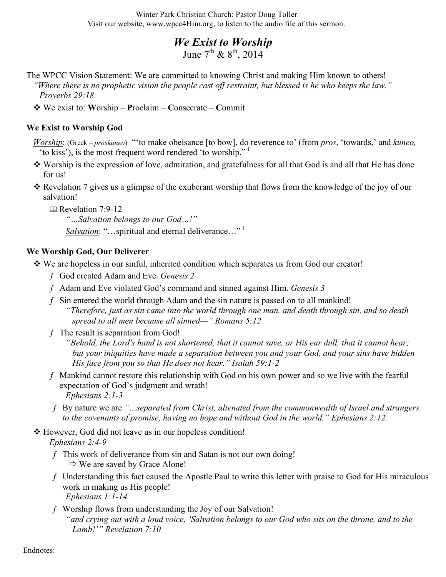Winter Park Christian Church: Pastor Doug Toller Visit our website, www.wpcc4Him.org, to listen to the audio file of this sermon.

## *We Exist to Worship*

June  $7^{th}$  &  $8^{th}$ , 2014

- The WPCC Vision Statement: We are committed to knowing Christ and making Him known to others! *"Where there is no prophetic vision the people cast off restraint, but blessed is he who keeps the law." Proverbs 29:18*
	- We exist to: **W**orship **P**roclaim **C**onsecrate **C**ommit

## **We Exist to Worship God**

- *Worship*: (Greek *proskuneo*) "'to make obeisance [to bow], do reverence to' (from *pros*, 'towards,' and *kuneo,* 'to kiss'), is the most frequent word rendered 'to worship."<sup>1</sup>
- Worship is the expression of love, admiration, and gratefulness for all that God is and all that He has done for us!
- $\hat{\mathbf{\cdot}}$  Revelation 7 gives us a glimpse of the exuberant worship that flows from the knowledge of the joy of our salvation!

 $\Box$  Revelation 7:9-12

*"…Salvation belongs to our God…!"*

Salvation: "...spiritual and eternal deliverance..."<sup>1</sup>

## **We Worship God, Our Deliverer**

- We are hopeless in our sinful, inherited condition which separates us from God our creator!
	- ƒ God created Adam and Eve. *Genesis 2*
	- ƒ Adam and Eve violated God's command and sinned against Him. *Genesis 3*
	- ƒ Sin entered the world through Adam and the sin nature is passed on to all mankind! *"Therefore, just as sin came into the world through one man, and death through sin, and so death spread to all men because all sinned—" Romans 5:12*
	- $f$  The result is separation from God!
		- *"Behold, the Lord's hand is not shortened, that it cannot save, or His ear dull, that it cannot hear; but your iniquities have made a separation between you and your God, and your sins have hidden His face from you so that He does not hear." Isaiah 59:1-2*
	- ƒ Mankind cannot restore this relationship with God on his own power and so we live with the fearful expectation of God's judgment and wrath! *Ephesians 2:1-3*
	- ƒ By nature we are *"…separated from Christ, alienated from the commonwealth of Israel and strangers to the covenants of promise, having no hope and without God in the world." Ephesians 2:12*
- However, God did not leave us in our hopeless condition!

*Ephesians 2:4-9*

- f This work of deliverance from sin and Satan is not our own doing!  $\Leftrightarrow$  We are saved by Grace Alone!
- ƒ Understanding this fact caused the Apostle Paul to write this letter with praise to God for His miraculous work in making us His people! *Ephesians 1:1-14*
- ƒ Worship flows from understanding the Joy of our Salvation! *"and crying out with a loud voice, 'Salvation belongs to our God who sits on the throne, and to the Lamb!'" Revelation 7:10*